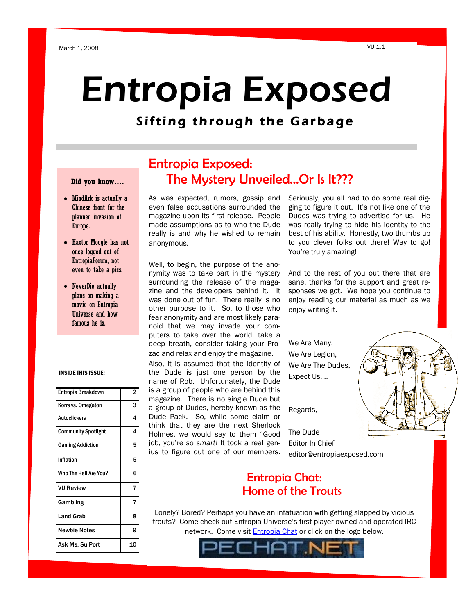# Entropia Exposed

## Sifting through the Garbage

### **Did you know….**

- MindArk is actually a Chinese front for the planned invasion of Europe.
- Haxtor Moogle has not once logged out of EntropiaForum, not even to take a piss.
- NeverDie actually plans on making a movie on Entropia Universe and how famous he is.

### INSIDE THIS ISSUE:

| Entropia Breakdown         | 2  |
|----------------------------|----|
| Korrs vs. Omegaton         | 3  |
| <b>Autoclickers</b>        | 4  |
| <b>Community Spotlight</b> | 4  |
| <b>Gaming Addiction</b>    | 5  |
| Inflation                  | 5  |
| Who The Hell Are You?      | 6  |
| <b>VU Review</b>           | 7  |
| Gambling                   | 7  |
| <b>Land Grab</b>           | 8  |
| <b>Newbie Notes</b>        | q  |
| Ask Ms. Su Port            | 10 |

## Entropia Exposed: The Mystery Unveiled...Or Is It???

As was expected, rumors, gossip and even false accusations surrounded the magazine upon its first release. People made assumptions as to who the Dude really is and why he wished to remain anonymous.

Well, to begin, the purpose of the anonymity was to take part in the mystery surrounding the release of the magazine and the developers behind it. It was done out of fun. There really is no other purpose to it. So, to those who fear anonymity and are most likely paranoid that we may invade your computers to take over the world, take a deep breath, consider taking your Prozac and relax and enjoy the magazine.

Also, it is assumed that the identity of the Dude is just one person by the name of Rob. Unfortunately, the Dude is a group of people who are behind this magazine. There is no single Dude but a group of Dudes, hereby known as the Dude Pack. So, while some claim or think that they are the next Sherlock Holmes, we would say to them "Good job, you"re *so smart!* It took a real genius to figure out one of our members.

Seriously, you all had to do some real digging to figure it out. It"s not like one of the Dudes was trying to advertise for us. He was really trying to hide his identity to the best of his ability. Honestly, two thumbs up to you clever folks out there! Way to go! You"re truly amazing!

And to the rest of you out there that are sane, thanks for the support and great responses we got. We hope you continue to enjoy reading our material as much as we enjoy writing it.

We Are Many, We Are Legion, We Are The Dudes, Expect Us….

Regards,

The Dude Editor In Chief editor@entropiaexposed.com



## Entropia Chat: Home of the Trouts

Lonely? Bored? Perhaps you have an infatuation with getting slapped by vicious trouts? Come check out Entropia Universe"s first player owned and operated IRC network. Come visit [Entropia Chat](http://www.entropiachat.net/index.php?p=javaclient) or click on the logo below.

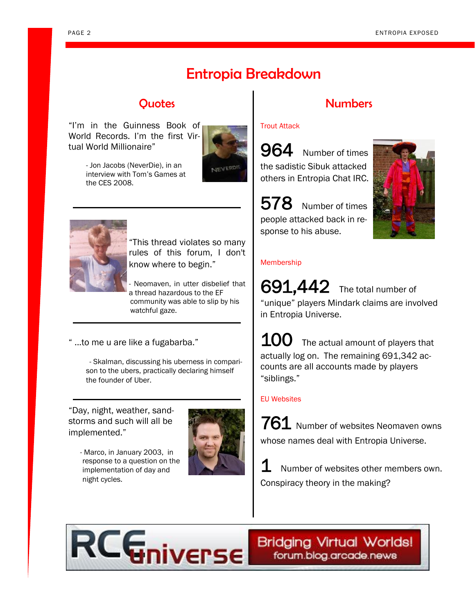## Entropia Breakdown

"I"m in the Guinness Book of World Records. I"m the first Virtual World Millionaire"



 - Jon Jacobs (NeverDie), in an interview with Tom"s Games at the CES 2008.



"This thread violates so many rules of this forum, I don't know where to begin."

- Neomaven, in utter disbelief that a thread hazardous to the EF community was able to slip by his watchful gaze.

" ...to me u are like a fugabarba."

 - Skalman, discussing his uberness in comparison to the ubers, practically declaring himself the founder of Uber.

"Day, night, weather, sandstorms and such will all be implemented."

> - Marco, in January 2003, in response to a question on the implementation of day and night cycles.



## Quotes Numbers

### Trout Attack

964 Number of times the sadistic Sibuk attacked others in Entropia Chat IRC.

578 Number of times people attacked back in response to his abuse.



### Membership

691,442 The total number of "unique" players Mindark claims are involved in Entropia Universe.

 $100$  The actual amount of players that actually log on. The remaining 691,342 accounts are all accounts made by players "siblings."

### EU Websites

761 Number of websites Neomaven owns whose names deal with Entropia Universe.

 ${\bf 1}\hspace{-2.5pt}\rule{0.1pt}{1.5pt}\hspace{1.5pt}}$  Number of websites other members own. Conspiracy theory in the making?



**Bridging Virtual Worlds!** forum.blog.arcade.news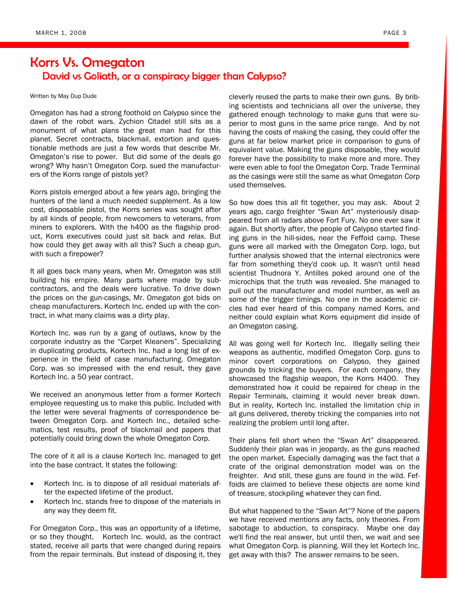## Korrs Vs. Omegaton David vs Goliath, or a conspiracy bigger than Calypso?

#### Written by May Dup Dude

Omegaton has had a strong foothold on Calypso since the dawn of the robot wars. Zychion Citadel still sits as a monument of what plans the great man had for this planet. Secret contracts, blackmail, extortion and questionable methods are just a few words that describe Mr. Omegaton"s rise to power. But did some of the deals go wrong? Why hasn"t Omegaton Corp. sued the manufacturers of the Korrs range of pistols yet?

Korrs pistols emerged about a few years ago, bringing the hunters of the land a much needed supplement. As a low cost, disposable pistol, the Korrs series was sought after by all kinds of people, from newcomers to veterans, from miners to explorers. With the h400 as the flagship product, Korrs executives could just sit back and relax. But how could they get away with all this? Such a cheap gun, with such a firepower?

It all goes back many years, when Mr. Omegaton was still building his empire. Many parts where made by subcontractors, and the deals were lucrative. To drive down the prices on the gun-casings, Mr. Omegaton got bids on cheap manufacturers. Kortech Inc. ended up with the contract, in what many claims was a dirty play.

Kortech Inc. was run by a gang of outlaws, know by the corporate industry as the "Carpet Kleaners". Specializing in duplicating products, Kortech Inc. had a long list of experience in the field of case manufacturing. Omegaton Corp. was so impressed with the end result, they gave Kortech Inc. a 50 year contract.

We received an anonymous letter from a former Kortech employee requesting us to make this public. Included with the letter were several fragments of correspondence between Omegaton Corp. and Kortech Inc., detailed schematics, test results, proof of blackmail and papers that potentially could bring down the whole Omegaton Corp.

The core of it all is a clause Kortech Inc. managed to get into the base contract. It states the following:

- Kortech Inc. is to dispose of all residual materials after the expected lifetime of the product.
- Kortech Inc. stands free to dispose of the materials in any way they deem fit.

For Omegaton Corp., this was an opportunity of a lifetime, or so they thought. Kortech Inc. would, as the contract stated, receive all parts that were changed during repairs from the repair terminals. But instead of disposing it, they cleverly reused the parts to make their own guns. By bribing scientists and technicians all over the universe, they gathered enough technology to make guns that were superior to most guns in the same price range. And by not having the costs of making the casing, they could offer the guns at far below market price in comparison to guns of equivalent value. Making the guns disposable, they would forever have the possibility to make more and more. They were even able to fool the Omegaton Corp. Trade Terminal as the casings were still the same as what Omegaton Corp used themselves.

So how does this all fit together, you may ask. About 2 years ago, cargo freighter "Swan Art" mysteriously disappeared from all radars above Fort Fury. No one ever saw it again. But shortly after, the people of Calypso started finding guns in the hill-sides, near the Feffoid camp. These guns were all marked with the Omegaton Corp. logo, but further analysis showed that the internal electronics were far from something they'd cook up. It wasn't until head scientist Thudnora Y. Antilles poked around one of the microchips that the truth was revealed. She managed to pull out the manufacturer and model number, as well as some of the trigger timings. No one in the academic circles had ever heard of this company named Korrs, and neither could explain what Korrs equipment did inside of an Omegaton casing.

All was going well for Kortech Inc. Illegally selling their weapons as authentic, modified Omegaton Corp. guns to minor covert corporations on Calypso, they gained grounds by tricking the buyers. For each company, they showcased the flagship weapon, the Korrs H400. They demonstrated how it could be repaired for cheap in the Repair Terminals, claiming it would never break down. But in reality, Kortech Inc. installed the limitation chip in all guns delivered, thereby tricking the companies into not realizing the problem until long after.

Their plans fell short when the "Swan Art" disappeared. Suddenly their plan was in jeopardy, as the guns reached the open market. Especially damaging was the fact that a crate of the original demonstration model was on the freighter. And still, these guns are found in the wild. Feffoids are claimed to believe these objects are some kind of treasure, stockpiling whatever they can find.

But what happened to the "Swan Art"? None of the papers we have received mentions any facts, only theories. From sabotage to abduction, to conspiracy. Maybe one day we'll find the real answer, but until then, we wait and see what Omegaton Corp. is planning. Will they let Kortech Inc. get away with this? The answer remains to be seen.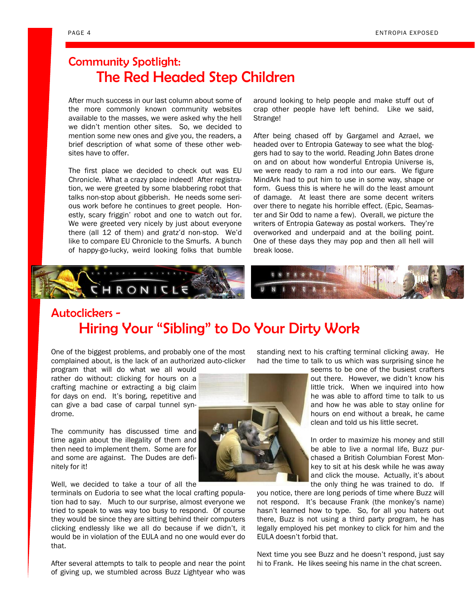## Community Spotlight: The Red Headed Step Children

After much success in our last column about some of the more commonly known community websites available to the masses, we were asked why the hell we didn"t mention other sites. So, we decided to mention some new ones and give you, the readers, a brief description of what some of these other websites have to offer.

The first place we decided to check out was EU Chronicle. What a crazy place indeed! After registration, we were greeted by some blabbering robot that talks non-stop about gibberish. He needs some serious work before he continues to greet people. Honestly, scary friggin' robot and one to watch out for. We were greeted very nicely by just about everyone there (all 12 of them) and gratz'd non-stop. We'd like to compare EU Chronicle to the Smurfs. A bunch of happy-go-lucky, weird looking folks that bumble around looking to help people and make stuff out of crap other people have left behind. Like we said, Strange!

After being chased off by Gargamel and Azrael, we headed over to Entropia Gateway to see what the bloggers had to say to the world. Reading John Bates drone on and on about how wonderful Entropia Universe is, we were ready to ram a rod into our ears. We figure MindArk had to put him to use in some way, shape or form. Guess this is where he will do the least amount of damage. At least there are some decent writers over there to negate his horrible effect. (Epic, Seamaster and Sir Odd to name a few). Overall, we picture the writers of Entropia Gateway as postal workers. They"re overworked and underpaid and at the boiling point. One of these days they may pop and then all hell will break loose.



## Autoclickers -Hiring Your "Sibling" to Do Your Dirty Work

One of the biggest problems, and probably one of the most complained about, is the lack of an authorized auto-clicker

program that will do what we all would rather do without: clicking for hours on a crafting machine or extracting a big claim for days on end. It's boring, repetitive and can give a bad case of carpal tunnel syndrome.

The community has discussed time and time again about the illegality of them and then need to implement them. Some are for and some are against. The Dudes are definitely for it!

Well, we decided to take a tour of all the

terminals on Eudoria to see what the local crafting population had to say. Much to our surprise, almost everyone we tried to speak to was way too busy to respond. Of course they would be since they are sitting behind their computers clicking endlessly like we all do because if we didn"t, it would be in violation of the EULA and no one would ever do that.

After several attempts to talk to people and near the point of giving up, we stumbled across Buzz Lightyear who was standing next to his crafting terminal clicking away. He had the time to talk to us which was surprising since he

> seems to be one of the busiest crafters out there. However, we didn"t know his little trick. When we inquired into how he was able to afford time to talk to us and how he was able to stay online for hours on end without a break, he came clean and told us his little secret.

> In order to maximize his money and still be able to live a normal life, Buzz purchased a British Columbian Forest Monkey to sit at his desk while he was away and click the mouse. Actually, it's about the only thing he was trained to do. If

you notice, there are long periods of time where Buzz will not respond. It's because Frank (the monkey's name) hasn"t learned how to type. So, for all you haters out there, Buzz is not using a third party program, he has legally employed his pet monkey to click for him and the EULA doesn"t forbid that.

Next time you see Buzz and he doesn"t respond, just say hi to Frank. He likes seeing his name in the chat screen.

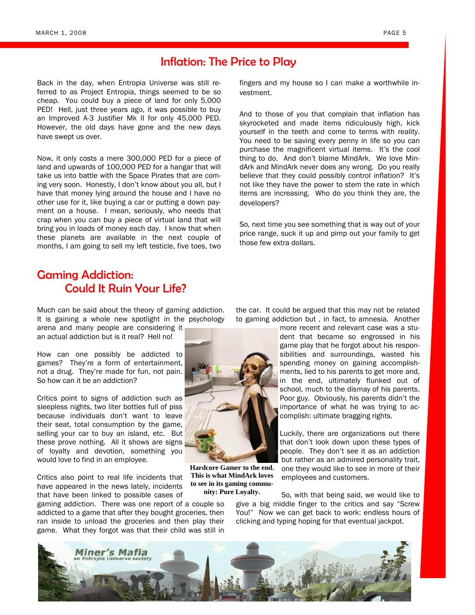## Inflation: The Price to Play

Back in the day, when Entropia Universe was still referred to as Project Entropia, things seemed to be so cheap. You could buy a piece of land for only 5,000 PED! Hell, just three years ago, it was possible to buy an Improved A-3 Justifier Mk II for only 45,000 PED. However, the old days have gone and the new days have swept us over.

Now, it only costs a mere 300,000 PED for a piece of land and upwards of 100,000 PED for a hangar that will take us into battle with the Space Pirates that are coming very soon. Honestly, I don"t know about you all, but I have that money lying around the house and I have no other use for it, like buying a car or putting a down payment on a house. I mean, seriously, who needs that crap when you can buy a piece of virtual land that will bring you in loads of money each day. I know that when these planets are available in the next couple of months, I am going to sell my left testicle, five toes, two

fingers and my house so I can make a worthwhile investment.

And to those of you that complain that inflation has skyrocketed and made items ridiculously high, kick yourself in the teeth and come to terms with reality. You need to be saving every penny in life so you can purchase the magnificent virtual items. It's the cool thing to do. And don"t blame MindArk. We love MindArk and MindArk never does any wrong. Do you really believe that they could possibly control inflation? It's not like they have the power to stem the rate in which items are increasing. Who do you think they are, the developers?

So, next time you see something that is way out of your price range, suck it up and pimp out your family to get those few extra dollars.

## Gaming Addiction: Could It Ruin Your Life?

Much can be said about the theory of gaming addiction. It is gaining a whole new spotlight in the psychology

arena and many people are considering it an actual addiction but is it real? Hell no!

How can one possibly be addicted to games? They"re a form of entertainment, not a drug. They"re made for fun, not pain. So how can it be an addiction?

Critics point to signs of addiction such as sleepless nights, two liter bottles full of piss because individuals don"t want to leave their seat, total consumption by the game, selling your car to buy an island, etc. But these prove nothing. All it shows are signs of loyalty and devotion, something you would love to find in an employee.

Critics also point to real life incidents that have appeared in the news lately, incidents that have been linked to possible cases of

gaming addiction. There was one report of a couple so addicted to a game that after they bought groceries, then ran inside to unload the groceries and then play their game. What they forgot was that their child was still in



**Hardcore Gamer to the end. This is what MindArk loves to see in its gaming community: Pure Loyalty.**

the car. It could be argued that this may not be related to gaming addiction but , in fact, to amnesia. Another

> more recent and relevant case was a student that became so engrossed in his game play that he forgot about his responsibilities and surroundings, wasted his spending money on gaining accomplishments, lied to his parents to get more and, in the end, ultimately flunked out of school, much to the dismay of his parents. Poor guy. Obviously, his parents didn"t the importance of what he was trying to accomplish: ultimate bragging rights.

> Luckily, there are organizations out there that don"t look down upon these types of people. They don"t see it as an addiction but rather as an admired personality trait, one they would like to see in more of their employees and customers.

So, with that being said, we would like to give a big middle finger to the critics and say "Screw You!" Now we can get back to work: endless hours of clicking and typing hoping for that eventual jackpot.

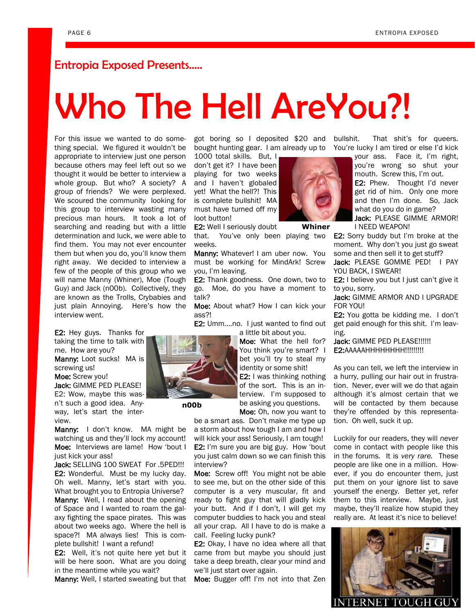## Entropia Exposed Presents…..

# Who The Hell AreYou?!

For this issue we wanted to do something special. We figured it wouldn"t be appropriate to interview just one person because others may feel left out so we thought it would be better to interview a whole group. But who? A society? A group of friends? We were perplexed. We scoured the community looking for this group to interview wasting many precious man hours. It took a lot of searching and reading but with a little determination and luck, we were able to find them. You may not ever encounter them but when you do, you"ll know them right away. We decided to interview a few of the people of this group who we will name Manny (Whiner), Moe (Tough Guy) and Jack (n00b). Collectively, they are known as the Trolls, Crybabies and just plain Annoying. Here"s how the interview went.

E2: Hey guys. Thanks for taking the time to talk with me. How are you? Manny: Loot sucks! MA is screwing us!

Moe: Screw you!

Jack: GIMME PED PLEASE! E2: Wow, maybe this wasn"t such a good idea. Anyway, let"s start the interview.

Manny: I don't know. MA might be watching us and they"ll lock my account! Moe: Interviews are lame! How 'bout I just kick your ass!

Jack: SELLING 100 SWEAT For .5PED!!! E2: Wonderful. Must be my lucky day. Oh well. Manny, let's start with you. What brought you to Entropia Universe?

Manny: Well, I read about the opening of Space and I wanted to roam the galaxy fighting the space pirates. This was about two weeks ago. Where the hell is space?! MA always lies! This is complete bullshit! I want a refund!

E2: Well, it's not quite here yet but it will be here soon. What are you doing in the meantime while you wait?

Manny: Well, I started sweating but that

got boring so I deposited \$20 and bought hunting gear. I am already up to You're lucky I am tired or else I'd kick

1000 total skills. But, I don"t get it? I have been playing for two weeks and I haven"t globaled yet! What the hell?! This is complete bullshit! MA must have turned off my loot button!

E2: Well I seriously doubt

that. You"ve only been playing two weeks.

Manny: Whatever! I am uber now. You must be working for MindArk! Screw you, I"m leaving.

E2: Thank goodness. One down, two to go. Moe, do you have a moment to talk?

Moe: About what? How I can kick your ass?!

E2: Umm....no. I just wanted to find out a little bit about you.

> Moe: What the hell for? You think you're smart? I bet you"ll try to steal my identity or some shit! E2: I was thinking nothing of the sort. This is an interview. I"m supposed to be asking you questions. Moe: Oh, now you want to

be a smart ass. Don"t make me type up a storm about how tough I am and how I

will kick your ass! Seriously, I am tough! E2: I'm sure you are big guy. How 'bout you just calm down so we can finish this interview?

Moe: Screw off! You might not be able to see me, but on the other side of this computer is a very muscular, fit and ready to fight guy that will gladly kick your butt. And if I don't, I will get my computer buddies to hack you and steal all your crap. All I have to do is make a call. Feeling lucky punk?

E2: Okay, I have no idea where all that came from but maybe you should just take a deep breath, clear your mind and we"ll just start over again.

Moe: Bugger off! I'm not into that Zen



**Whiner**

That shit's for queers.

your ass. Face it, I'm right, you"re wrong so shut your mouth. Screw this, I"m out. E2: Phew. Thought I'd never get rid of him. Only one more and then I"m done. So, Jack what do you do in game? Jack: PLEASE GIMME ARMOR!

I NEED WEAPON!

E2: Sorry buddy but I'm broke at the moment. Why don"t you just go sweat some and then sell it to get stuff?

Jack: PLEASE GOMME PED! | PAY YOU BACK, I SWEAR!

E2: I believe you but I just can't give it to you, sorry.

Jack: GIMME ARMOR AND I UPGRADE FOR YOU!

E2: You gotta be kidding me. I don"t get paid enough for this shit. I"m leaving.

Jack: GIMME PED PLEASE!!!!!! E2:AAAAAHHHHHHHH!!!!!!!!!!

As you can tell, we left the interview in a hurry, pulling our hair out in frustration. Never, ever will we do that again although it's almost certain that we will be contacted by them because they"re offended by this representation. Oh well, suck it up.

Luckily for our readers, they will *never* come in contact with people like this in the forums. It is *very rare.* These people are like one in a million. However, if you do encounter them, just put them on your ignore list to save yourself the energy. Better yet, refer them to this interview. Maybe, just maybe, they"ll realize how stupid they really are. At least it's nice to believe!





**n00b**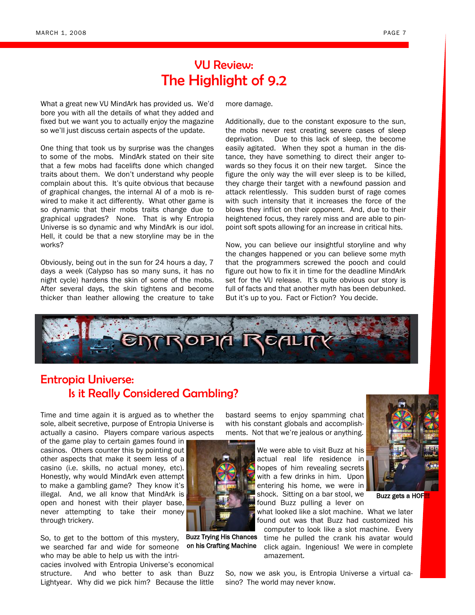## VU Review: The Highlight of 9.2

What a great new VU MindArk has provided us. We"d bore you with all the details of what they added and fixed but we want you to actually enjoy the magazine so we"ll just discuss certain aspects of the update.

One thing that took us by surprise was the changes to some of the mobs. MindArk stated on their site that a few mobs had facelifts done which changed traits about them. We don"t understand why people complain about this. It"s quite obvious that because of graphical changes, the internal AI of a mob is rewired to make it act differently. What other game is so dynamic that their mobs traits change due to graphical upgrades? None. That is why Entropia Universe is so dynamic and why MindArk is our idol. Hell, it could be that a new storyline may be in the works?

Obviously, being out in the sun for 24 hours a day, 7 days a week (Calypso has so many suns, it has no night cycle) hardens the skin of some of the mobs. After several days, the skin tightens and become thicker than leather allowing the creature to take more damage.

Additionally, due to the constant exposure to the sun, the mobs never rest creating severe cases of sleep deprivation. Due to this lack of sleep, the become easily agitated. When they spot a human in the distance, they have something to direct their anger towards so they focus it on their new target. Since the figure the only way the will ever sleep is to be killed, they charge their target with a newfound passion and attack relentlessly. This sudden burst of rage comes with such intensity that it increases the force of the blows they inflict on their opponent. And, due to their heightened focus, they rarely miss and are able to pinpoint soft spots allowing for an increase in critical hits.

Now, you can believe our insightful storyline and why the changes happened or you can believe some myth that the programmers screwed the pooch and could figure out how to fix it in time for the deadline MindArk set for the VU release. It's quite obvious our story is full of facts and that another myth has been debunked. But it's up to you. Fact or Fiction? You decide.



Buzz Trying His Chances on his Crafting Machine

## Entropia Universe: Is it Really Considered Gambling?

Time and time again it is argued as to whether the sole, albeit secretive, purpose of Entropia Universe is actually a casino. Players compare various aspects

of the game play to certain games found in casinos. Others counter this by pointing out other aspects that make it seem less of a casino (i.e. skills, no actual money, etc). Honestly, why would MindArk even attempt to make a gambling game? They know it"s illegal. And, we all know that MindArk is open and honest with their player base, never attempting to take their money through trickery.

So, to get to the bottom of this mystery, we searched far and wide for someone who may be able to help us with the intri-

cacies involved with Entropia Universe"s economical structure. And who better to ask than Buzz Lightyear. Why did we pick him? Because the little

bastard seems to enjoy spamming chat with his constant globals and accomplishments. Not that we"re jealous or anything.

> We were able to visit Buzz at his actual real life residence in hopes of him revealing secrets with a few drinks in him. Upon entering his home, we were in shock. Sitting on a bar stool, we found Buzz pulling a lever on

what looked like a slot machine. What we later found out was that Buzz had customized his

computer to look like a slot machine. Every time he pulled the crank his avatar would click again. Ingenious! We were in complete amazement.



So, now we ask you, is Entropia Universe a virtual casino? The world may never know.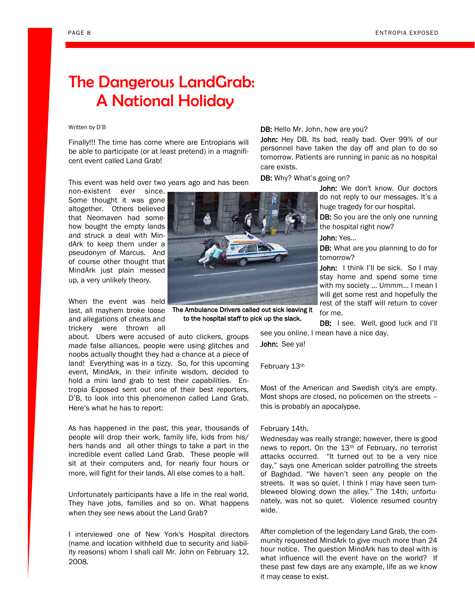## The Dangerous LandGrab: A National Holiday

### Written by D"B

Finally!!! The time has come where are Entropians will be able to participate (or at least pretend) in a magnificent event called Land Grab!

This event was held over two years ago and has been

non-existent ever since. Some thought it was gone altogether. Others believed that Neomaven had somehow bought the empty lands and struck a deal with MindArk to keep them under a pseudonym of Marcus. And of course other thought that MindArk just plain messed up, a very unlikely theory.

When the event was held last, all mayhem broke loose The Ambulance Drivers called out sick leaving it and allegations of cheats and trickery were thrown all

about. Ubers were accused of auto clickers, groups made false alliances, people were using glitches and noobs actually thought they had a chance at a piece of land! Everything was in a tizzy. So, for this upcoming event, MindArk, in their infinite wisdom, decided to hold a mini land grab to test their capabilities. Entropia Exposed sent out one of their best reporters, D"B, to look into this phenomenon called Land Grab. Here"s what he has to report:

As has happened in the past, this year, thousands of people will drop their work, family life, kids from his/ hers hands and all other things to take a part in the incredible event called Land Grab. These people will sit at their computers and, for nearly four hours or more, will fight for their lands. All else comes to a halt.

Unfortunately participants have a life in the real world. They have jobs, families and so on. What happens when they see news about the Land Grab?

I interviewed one of New York's Hospital directors (name and location withheld due to security and liability reasons) whom I shall call Mr. John on February 12, 2008.

DB: Hello Mr. John, how are you?

John: Hey DB. Its bad, really bad. Over 99% of our personnel have taken the day off and plan to do so tomorrow. Patients are running in panic as no hospital care exists.

DB: Why? What's going on?

John: We don't know. Our doctors do not reply to our messages. It's a huge tragedy for our hospital.

DB: So you are the only one running the hospital right now?

### John: Yes...

DB: What are you planning to do for tomorrow?

John: I think I'll be sick. So I may stay home and spend some time with my society ... Ummm... I mean I will get some rest and hopefully the rest of the staff will return to cover for me.

DB: I see. Well, good luck and I'll see you online. I mean have a nice day.

John: See ya!

February 13th

Most of the American and Swedish city's are empty. Most shops are closed, no policemen on the streets – this is probably an apocalypse.

### February 14th.

Wednesday was really strange; however, there is good news to report. On the 13th of February, no terrorist attacks occurred. "It turned out to be a very nice day," says one American solder patrolling the streets of Baghdad. "We haven"t seen any people on the streets. It was so quiet. I think I may have seen tumbleweed blowing down the alley." The 14th, unfortunately, was not so quiet. Violence resumed country wide.

After completion of the legendary Land Grab, the community requested MindArk to give much more than 24 hour notice. The question MindArk has to deal with is what influence will the event have on the world? If these past few days are any example, life as we know it may cease to exist.



to the hospital staff to pick up the slack.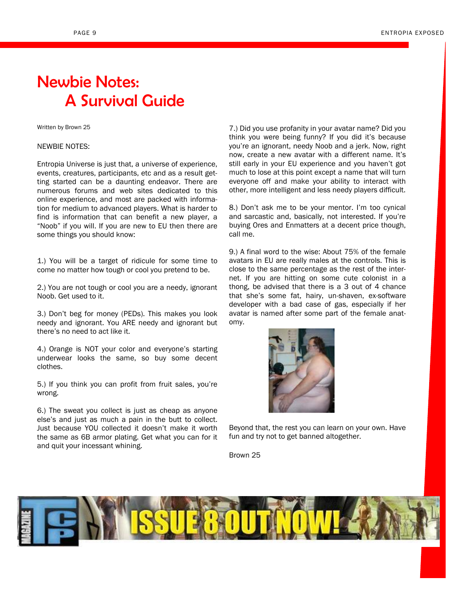## Newbie Notes: A Survival Guide

### Written by Brown 25

### NEWBIE NOTES:

Entropia Universe is just that, a universe of experience, events, creatures, participants, etc and as a result getting started can be a daunting endeavor. There are numerous forums and web sites dedicated to this online experience, and most are packed with information for medium to advanced players. What is harder to find is information that can benefit a new player, a "Noob" if you will. If you are new to EU then there are some things you should know:

1.) You will be a target of ridicule for some time to come no matter how tough or cool you pretend to be.

2.) You are not tough or cool you are a needy, ignorant Noob. Get used to it.

3.) Don"t beg for money (PEDs). This makes you look needy and ignorant. You ARE needy and ignorant but there"s no need to act like it.

4.) Orange is NOT your color and everyone's starting underwear looks the same, so buy some decent clothes.

5.) If you think you can profit from fruit sales, you"re wrong.

6.) The sweat you collect is just as cheap as anyone else"s and just as much a pain in the butt to collect. Just because YOU collected it doesn"t make it worth the same as 6B armor plating. Get what you can for it and quit your incessant whining.

7.) Did you use profanity in your avatar name? Did you think you were being funny? If you did it"s because you"re an ignorant, needy Noob and a jerk. Now, right now, create a new avatar with a different name. It's still early in your EU experience and you haven't got much to lose at this point except a name that will turn everyone off and make your ability to interact with other, more intelligent and less needy players difficult.

8.) Don't ask me to be your mentor. I'm too cynical and sarcastic and, basically, not interested. If you"re buying Ores and Enmatters at a decent price though, call me.

9.) A final word to the wise: About 75% of the female avatars in EU are really males at the controls. This is close to the same percentage as the rest of the internet. If you are hitting on some cute colonist in a thong, be advised that there is a 3 out of 4 chance that she"s some fat, hairy, un-shaven, ex-software developer with a bad case of gas, especially if her avatar is named after some part of the female anatomy.



Beyond that, the rest you can learn on your own. Have fun and try not to get banned altogether.

Brown 25

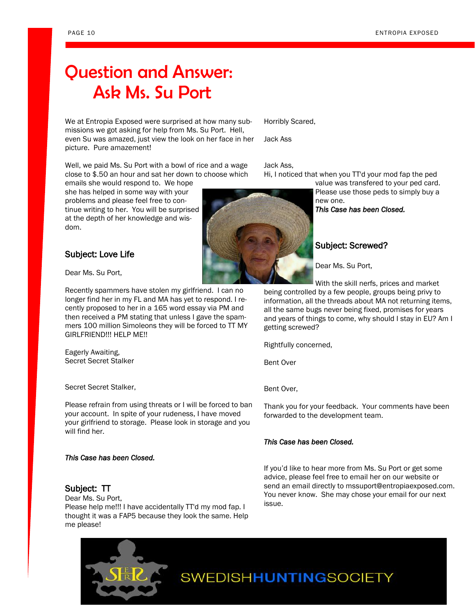## Question and Answer: Ask Ms. Su Port

We at Entropia Exposed were surprised at how many submissions we got asking for help from Ms. Su Port. Hell, even Su was amazed, just view the look on her face in her picture. Pure amazement!

Well, we paid Ms. Su Port with a bowl of rice and a wage close to \$.50 an hour and sat her down to choose which

emails she would respond to. We hope she has helped in some way with your problems and please feel free to continue writing to her. You will be surprised at the depth of her knowledge and wisdom.

### Subject: Love Life

Dear Ms. Su Port,

Recently spammers have stolen my girlfriend. I can no longer find her in my FL and MA has yet to respond. I recently proposed to her in a 165 word essay via PM and then received a PM stating that unless I gave the spammers 100 million Simoleons they will be forced to TT MY GIRLFRIEND!!! HELP ME!!

Eagerly Awaiting, Secret Secret Stalker

Secret Secret Stalker,

Please refrain from using threats or I will be forced to ban your account. In spite of your rudeness, I have moved your girlfriend to storage. Please look in storage and you will find her.

### *This Case has been Closed.*

### Subject: TT

Dear Ms. Su Port, Please help me!!! I have accidentally TT'd my mod fap. I thought it was a FAP5 because they look the same. Help me please!



Horribly Scared,

Jack Ass

Jack Ass,

Hi, I noticed that when you TT'd your mod fap the ped

value was transfered to your ped card. Please use those peds to simply buy a new one.

*This Case has been Closed.* 

### Subject: Screwed?

Dear Ms. Su Port,

With the skill nerfs, prices and market

being controlled by a few people, groups being privy to information, all the threads about MA not returning items, all the same bugs never being fixed, promises for years and years of things to come, why should I stay in EU? Am I getting screwed?

Rightfully concerned,

Bent Over

Bent Over,

Thank you for your feedback. Your comments have been forwarded to the development team.

### *This Case has been Closed.*

If you"d like to hear more from Ms. Su Port or get some advice, please feel free to email her on our website or send an email directly to mssuport@entropiaexposed.com. You never know. She may chose your email for our next issue.

**SWEDISHHUNTINGSOCIETY**